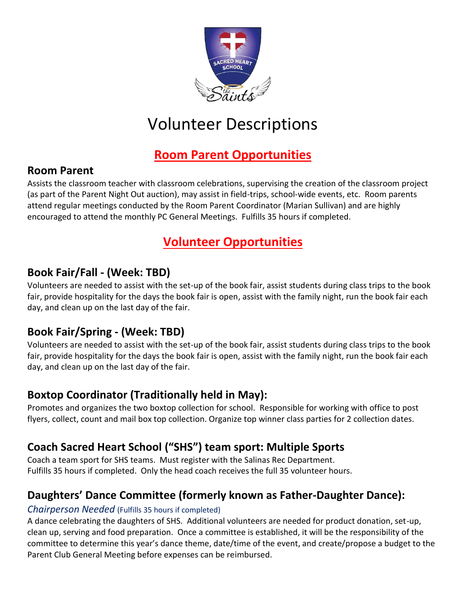

# Volunteer Descriptions

# **Room Parent Opportunities**

### **Room Parent**

Assists the classroom teacher with classroom celebrations, supervising the creation of the classroom project (as part of the Parent Night Out auction), may assist in field-trips, school-wide events, etc. Room parents attend regular meetings conducted by the Room Parent Coordinator (Marian Sullivan) and are highly encouraged to attend the monthly PC General Meetings. Fulfills 35 hours if completed.

# **Volunteer Opportunities**

## **Book Fair/Fall - (Week: TBD)**

Volunteers are needed to assist with the set-up of the book fair, assist students during class trips to the book fair, provide hospitality for the days the book fair is open, assist with the family night, run the book fair each day, and clean up on the last day of the fair.

## **Book Fair/Spring - (Week: TBD)**

Volunteers are needed to assist with the set-up of the book fair, assist students during class trips to the book fair, provide hospitality for the days the book fair is open, assist with the family night, run the book fair each day, and clean up on the last day of the fair.

## **Boxtop Coordinator (Traditionally held in May):**

Promotes and organizes the two boxtop collection for school. Responsible for working with office to post flyers, collect, count and mail box top collection. Organize top winner class parties for 2 collection dates.

# **Coach Sacred Heart School ("SHS") team sport: Multiple Sports**

Coach a team sport for SHS teams. Must register with the Salinas Rec Department. Fulfills 35 hours if completed. Only the head coach receives the full 35 volunteer hours.

## **Daughters' Dance Committee (formerly known as Father-Daughter Dance):**

#### *Chairperson Needed* (Fulfills 35 hours if completed)

A dance celebrating the daughters of SHS. Additional volunteers are needed for product donation, set-up, clean up, serving and food preparation. Once a committee is established, it will be the responsibility of the committee to determine this year's dance theme, date/time of the event, and create/propose a budget to the Parent Club General Meeting before expenses can be reimbursed.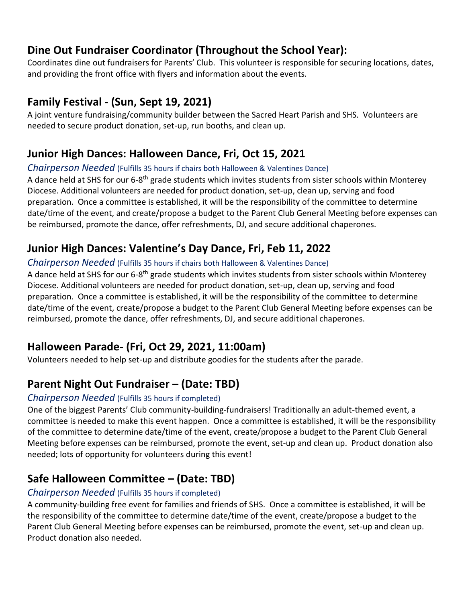## **Dine Out Fundraiser Coordinator (Throughout the School Year):**

Coordinates dine out fundraisers for Parents' Club. This volunteer is responsible for securing locations, dates, and providing the front office with flyers and information about the events.

# **Family Festival - (Sun, Sept 19, 2021)**

A joint venture fundraising/community builder between the Sacred Heart Parish and SHS. Volunteers are needed to secure product donation, set-up, run booths, and clean up.

# **Junior High Dances: Halloween Dance, Fri, Oct 15, 2021**

#### *Chairperson Needed* (Fulfills 35 hours if chairs both Halloween & Valentines Dance)

A dance held at SHS for our 6-8<sup>th</sup> grade students which invites students from sister schools within Monterey Diocese. Additional volunteers are needed for product donation, set-up, clean up, serving and food preparation. Once a committee is established, it will be the responsibility of the committee to determine date/time of the event, and create/propose a budget to the Parent Club General Meeting before expenses can be reimbursed, promote the dance, offer refreshments, DJ, and secure additional chaperones.

# **Junior High Dances: Valentine's Day Dance, Fri, Feb 11, 2022**

#### *Chairperson Needed* (Fulfills 35 hours if chairs both Halloween & Valentines Dance)

A dance held at SHS for our 6-8<sup>th</sup> grade students which invites students from sister schools within Monterey Diocese. Additional volunteers are needed for product donation, set-up, clean up, serving and food preparation. Once a committee is established, it will be the responsibility of the committee to determine date/time of the event, create/propose a budget to the Parent Club General Meeting before expenses can be reimbursed, promote the dance, offer refreshments, DJ, and secure additional chaperones.

# **Halloween Parade- (Fri, Oct 29, 2021, 11:00am)**

Volunteers needed to help set-up and distribute goodies for the students after the parade.

# **Parent Night Out Fundraiser – (Date: TBD)**

#### *Chairperson Needed* (Fulfills 35 hours if completed)

One of the biggest Parents' Club community-building-fundraisers! Traditionally an adult-themed event, a committee is needed to make this event happen. Once a committee is established, it will be the responsibility of the committee to determine date/time of the event, create/propose a budget to the Parent Club General Meeting before expenses can be reimbursed, promote the event, set-up and clean up. Product donation also needed; lots of opportunity for volunteers during this event!

# **Safe Halloween Committee – (Date: TBD)**

#### *Chairperson Needed* (Fulfills 35 hours if completed)

A community-building free event for families and friends of SHS. Once a committee is established, it will be the responsibility of the committee to determine date/time of the event, create/propose a budget to the Parent Club General Meeting before expenses can be reimbursed, promote the event, set-up and clean up. Product donation also needed.